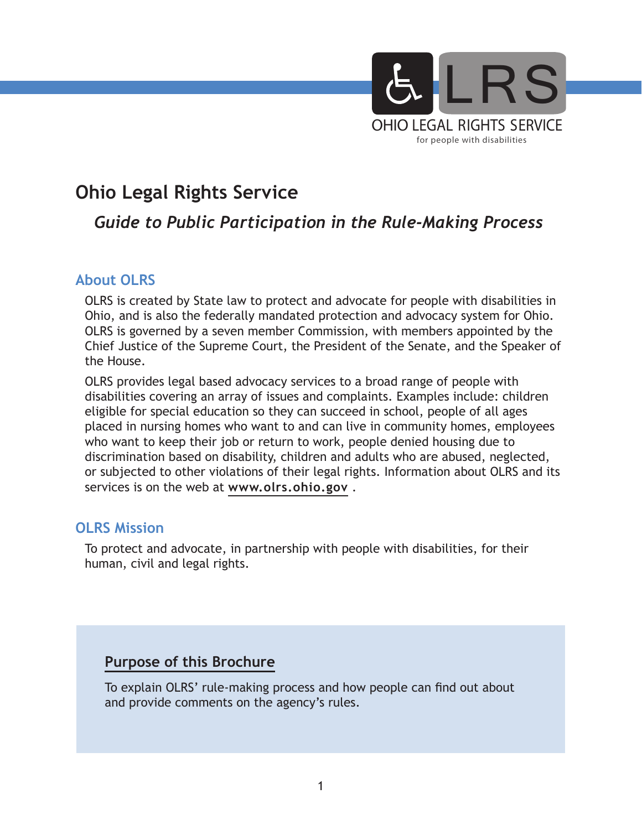

# **Ohio Legal Rights Service**

## *Guide to Public Participation in the Rule-Making Process*

#### **About OLRS**

OLRS is created by State law to protect and advocate for people with disabilities in Ohio, and is also the federally mandated protection and advocacy system for Ohio. OLRS is governed by a seven member Commission, with members appointed by the Chief Justice of the Supreme Court, the President of the Senate, and the Speaker of the House.

OLRS provides legal based advocacy services to a broad range of people with disabilities covering an array of issues and complaints. Examples include: children eligible for special education so they can succeed in school, people of all ages placed in nursing homes who want to and can live in community homes, employees who want to keep their job or return to work, people denied housing due to discrimination based on disability, children and adults who are abused, neglected, or subjected to other violations of their legal rights. Information about OLRS and its services is on the web at **www.olrs.ohio.gov** .

#### **OLRS Mission**

To protect and advocate, in partnership with people with disabilities, for their human, civil and legal rights.

#### **Purpose of this Brochure**

To explain OLRS' rule-making process and how people can find out about and provide comments on the agency's rules.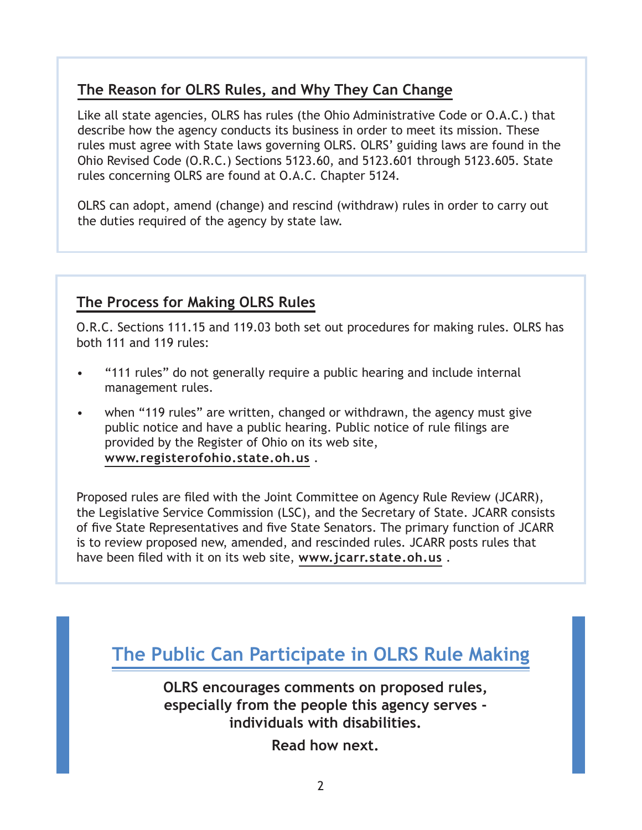## **The Reason for OLRS Rules, and Why They Can Change**

Like all state agencies, OLRS has rules (the Ohio Administrative Code or O.A.C.) that describe how the agency conducts its business in order to meet its mission. These rules must agree with State laws governing OLRS. OLRS' guiding laws are found in the Ohio Revised Code (O.R.C.) Sections 5123.60, and 5123.601 through 5123.605. State rules concerning OLRS are found at O.A.C. Chapter 5124.

OLRS can adopt, amend (change) and rescind (withdraw) rules in order to carry out the duties required of the agency by state law.

## **The Process for Making OLRS Rules**

O.R.C. Sections 111.15 and 119.03 both set out procedures for making rules. OLRS has both 111 and 119 rules:

- "111 rules" do not generally require a public hearing and include internal management rules.
- when "119 rules" are written, changed or withdrawn, the agency must give public notice and have a public hearing. Public notice of rule filings are provided by the Register of Ohio on its web site, **www.registerofohio.state.oh.us** .

Proposed rules are filed with the Joint Committee on Agency Rule Review (JCARR), the Legislative Service Commission (LSC), and the Secretary of State. JCARR consists of five State Representatives and five State Senators. The primary function of JCARR is to review proposed new, amended, and rescinded rules. JCARR posts rules that have been filed with it on its web site, **www.jcarr.state.oh.us** .

**The Public Can Participate in OLRS Rule Making**

**OLRS encourages comments on proposed rules, especially from the people this agency serves individuals with disabilities.**

**Read how next.**